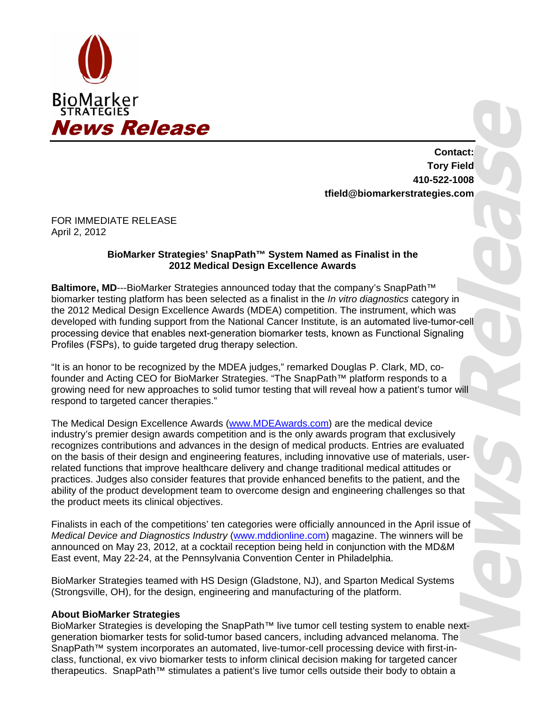

**Contact: Tory Field 410-522-1008 tfield@biomarkerstrategies.com** 

FOR IMMEDIATE RELEASE April 2, 2012

## **BioMarker Strategies' SnapPath™ System Named as Finalist in the 2012 Medical Design Excellence Awards**

**Baltimore, MD---BioMarker Strategies announced today that the company's SnapPath<sup>™</sup>** biomarker testing platform has been selected as a finalist in the *In vitro diagnostics* category in the 2012 Medical Design Excellence Awards (MDEA) competition. The instrument, which was developed with funding support from the National Cancer Institute, is an automated live-tumor-cell processing device that enables next-generation biomarker tests, known as Functional Signaling Profiles (FSPs), to guide targeted drug therapy selection.

"It is an honor to be recognized by the MDEA judges," remarked Douglas P. Clark, MD, cofounder and Acting CEO for BioMarker Strategies. "The SnapPath™ platform responds to a growing need for new approaches to solid tumor testing that will reveal how a patient's tumor will respond to targeted cancer therapies."

The Medical Design Excellence Awards (www.MDEAwards.com) are the medical device industry's premier design awards competition and is the only awards program that exclusively recognizes contributions and advances in the design of medical products. Entries are evaluated on the basis of their design and engineering features, including innovative use of materials, userrelated functions that improve healthcare delivery and change traditional medical attitudes or practices. Judges also consider features that provide enhanced benefits to the patient, and the ability of the product development team to overcome design and engineering challenges so that the product meets its clinical objectives.

Finalists in each of the competitions' ten categories were officially announced in the April issue of *Medical Device and Diagnostics Industry* (www.mddionline.com) magazine. The winners will be announced on May 23, 2012, at a cocktail reception being held in conjunction with the MD&M East event, May 22-24, at the Pennsylvania Convention Center in Philadelphia.

BioMarker Strategies teamed with HS Design (Gladstone, NJ), and Sparton Medical Systems (Strongsville, OH), for the design, engineering and manufacturing of the platform.

## **About BioMarker Strategies**

BioMarker Strategies is developing the SnapPath™ live tumor cell testing system to enable nextgeneration biomarker tests for solid-tumor based cancers, including advanced melanoma. The SnapPath™ system incorporates an automated, live-tumor-cell processing device with first-inclass, functional, ex vivo biomarker tests to inform clinical decision making for targeted cancer therapeutics. SnapPath™ stimulates a patient's live tumor cells outside their body to obtain a